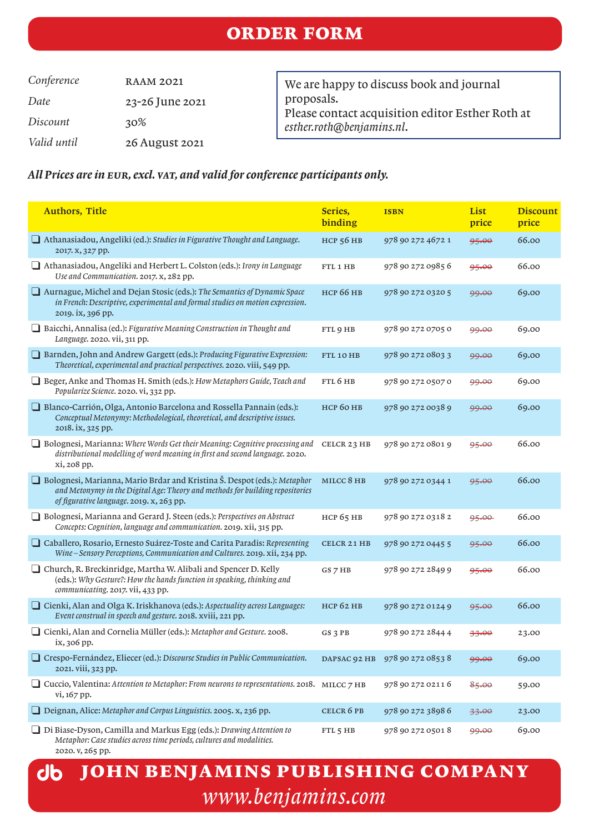*Conference* RAAM 2021 *Date* 23-26 June 2021 *Discount* 30% *Valid until* 26 August 2021

We are happy to discuss book and journal proposals. Please contact acquisition editor Esther Roth at *esther.roth@benjamins.nl*.

### *All Prices are in eur, excl. vat, and valid for conference participants only.*

| <b>Authors, Title</b>                                                                                                                                                                                   | Series,<br>binding | <b>ISBN</b>       | List<br>price    | <b>Discount</b><br>price |
|---------------------------------------------------------------------------------------------------------------------------------------------------------------------------------------------------------|--------------------|-------------------|------------------|--------------------------|
| Athanasiadou, Angeliki (ed.): Studies in Figurative Thought and Language.<br>2017. X, 327 pp.                                                                                                           | <b>НСР 56 НВ</b>   | 978 90 272 4672 1 | 95.00            | 66.00                    |
| Athanasiadou, Angeliki and Herbert L. Colston (eds.): Irony in Language<br>Use and Communication. 2017. x, 282 pp.                                                                                      | FTL 1 HB           | 978 90 272 0985 6 | 95.00            | 66.00                    |
| Aurnague, Michel and Dejan Stosic (eds.): The Semantics of Dynamic Space<br>in French: Descriptive, experimental and formal studies on motion expression.<br>2019. ix, 396 pp.                          | <b>НСР 66 НВ</b>   | 978 90 272 0320 5 | <del>99.00</del> | 69.00                    |
| Baicchi, Annalisa (ed.): Figurative Meaning Construction in Thought and<br>Language. 2020. vii, 311 pp.                                                                                                 | FTL 9 HB           | 978 90 272 0705 0 | 99.00            | 69.00                    |
| Barnden, John and Andrew Gargett (eds.): Producing Figurative Expression:<br>Theoretical, experimental and practical perspectives. 2020. viii, 549 pp.                                                  | FTL 10 HB          | 978 90 272 0803 3 | 99.00            | 69.00                    |
| Beger, Anke and Thomas H. Smith (eds.): How Metaphors Guide, Teach and<br>Popularize Science. 2020. vi, 332 pp.                                                                                         | FTL 6 HB           | 978 90 272 0507 0 | <del>99.00</del> | 69.00                    |
| Blanco-Carrión, Olga, Antonio Barcelona and Rossella Pannain (eds.):<br>Conceptual Metonymy: Methodological, theoretical, and descriptive issues.<br>2018. ix, 325 pp.                                  | нср 60 нв          | 978 90 272 0038 9 | 99.00            | 69.00                    |
| Bolognesi, Marianna: Where Words Get their Meaning: Cognitive processing and<br>distributional modelling of word meaning in first and second language. 2020.<br>xi, 208 pp.                             | CELCR 23 HB        | 978 90 272 0801 9 | 95.00            | 66.00                    |
| □ Bolognesi, Marianna, Mario Brdar and Kristina Š. Despot (eds.): Metaphor<br>and Metonymy in the Digital Age: Theory and methods for building repositories<br>of figurative language. 2019. x, 263 pp. | MILCC 8 HB         | 978 90 272 0344 1 | 95.00            | 66.00                    |
| Bolognesi, Marianna and Gerard J. Steen (eds.): Perspectives on Abstract<br>Concepts: Cognition, language and communication. 2019. xii, 315 pp.                                                         | $HCP$ 65 $HB$      | 978 90 272 0318 2 | 95.00            | 66.00                    |
| $\Box$ Caballero, Rosario, Ernesto Suárez-Toste and Carita Paradis: Representing<br>Wine-Sensory Perceptions, Communication and Cultures. 2019. xii, 234 pp.                                            | CELCR 21 HB        | 978 90 272 0445 5 | 95.00            | 66.00                    |
| □ Church, R. Breckinridge, Martha W. Alibali and Spencer D. Kelly<br>(eds.): Why Gesture?: How the hands function in speaking, thinking and<br>communicating. 2017. vii, 433 pp.                        | GS 7 HB            | 978 90 272 2849 9 | 95.00            | 66.00                    |
| Cienki, Alan and Olga K. Iriskhanova (eds.): Aspectuality across Languages:<br>Event construal in speech and gesture. 2018. xviii, 221 pp.                                                              | <b>НСР 62 НВ</b>   | 978 90 272 0124 9 | 95.00            | 66.00                    |
| Cienki, Alan and Cornelia Müller (eds.): Metaphor and Gesture. 2008.<br>ix, 306 pp.                                                                                                                     | GS 3 PB            | 978 90 272 2844 4 | 33.00            | 23.00                    |
| □ Crespo-Fernández, Eliecer (ed.): Discourse Studies in Public Communication.<br>2021. viii, 323 pp.                                                                                                    | DAPSAC 92 HB       | 978 90 272 0853 8 | 99.00            | 69.00                    |
| $\Box$ Cuccio, Valentina: Attention to Metaphor: From neurons to representations. 2018. MILCC 7 HB<br>vi, 167 pp.                                                                                       |                    | 978 90 272 0211 6 | 85.00            | 59.00                    |
| Deignan, Alice: Metaphor and Corpus Linguistics. 2005. x, 236 pp.                                                                                                                                       | CELCR 6 PB         | 978 90 272 3898 6 | 33.00            | 23.00                    |
| □ Di Biase-Dyson, Camilla and Markus Egg (eds.): Drawing Attention to<br>Metaphor: Case studies across time periods, cultures and modalities.<br>2020. v, 265 pp.                                       | FTL 5 HB           | 978 90 272 05018  | 99.00            | 69.00                    |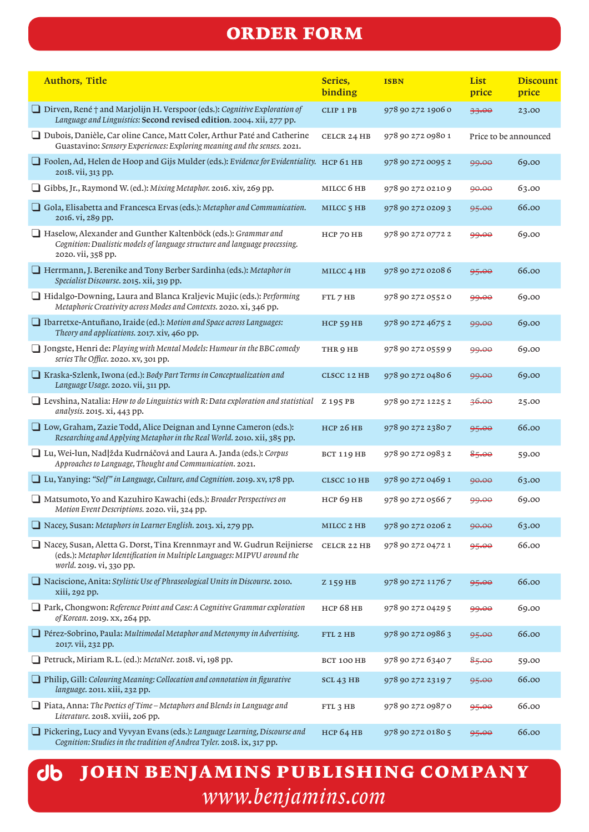| <b>Authors, Title</b>                                                                                                                                                         | Series,<br>binding    | <b>ISBN</b>       | List<br>price         | <b>Discount</b><br>price |
|-------------------------------------------------------------------------------------------------------------------------------------------------------------------------------|-----------------------|-------------------|-----------------------|--------------------------|
| $\Box$ Dirven, René $\dag$ and Marjolijn H. Verspoor (eds.): Cognitive Exploration of<br>Language and Linguistics: Second revised edition. 2004. xii, 277 pp.                 | <b>CLIP 1 PB</b>      | 978 90 272 1906 0 | 33.00                 | 23.00                    |
| Dubois, Danièle, Car oline Cance, Matt Coler, Arthur Paté and Catherine<br>Guastavino: Sensory Experiences: Exploring meaning and the senses. 2021.                           | CELCR 24 HB           | 978 90 272 0980 1 | Price to be announced |                          |
| □ Foolen, Ad, Helen de Hoop and Gijs Mulder (eds.): Evidence for Evidentiality. HCP 61 HB<br>2018. vii, 313 pp.                                                               |                       | 978 90 272 0095 2 | 99.00                 | 69.00                    |
| Gibbs, Jr., Raymond W. (ed.): Mixing Metaphor. 2016. xiv, 269 pp.                                                                                                             | MILCC 6 HB            | 978 90 272 0210 9 | 90.00                 | 63.00                    |
| Gola, Elisabetta and Francesca Ervas (eds.): Metaphor and Communication.<br>2016. vi, 289 pp.                                                                                 | MILCC <sub>5</sub> HB | 978 90 272 0209 3 | 95.00                 | 66.00                    |
| Haselow, Alexander and Gunther Kaltenböck (eds.): Grammar and<br>Cognition: Dualistic models of language structure and language processing.<br>2020. vii, 358 pp.             | HCP 70 HB             | 978 90 272 0772 2 | 99.00                 | 69.00                    |
| Herrmann, J. Berenike and Tony Berber Sardinha (eds.): Metaphor in<br>Specialist Discourse. 2015. xii, 319 pp.                                                                | MILCC <sub>4</sub> HB | 978 90 272 0208 6 | 95.00                 | 66.00                    |
| Hidalgo-Downing, Laura and Blanca Kraljevic Mujic (eds.): Performing<br>Metaphoric Creativity across Modes and Contexts. 2020. xi, 346 pp.                                    | FTL 7 HB              | 978 90 272 0552 0 | 99.00                 | 69.00                    |
| □ Ibarretxe-Antuñano, Iraide (ed.): Motion and Space across Languages:<br>Theory and applications. 2017. xiv, 460 pp.                                                         | HCP 59 HB             | 978 90 272 4675 2 | 99.00                 | 69.00                    |
| □ Jongste, Henri de: Playing with Mental Models: Humour in the BBC comedy<br>series The Office. 2020. xv, 301 pp.                                                             | THR 9 HB              | 978 90 272 0559 9 | 99.00                 | 69.00                    |
| Kraska-Szlenk, Iwona (ed.): Body Part Terms in Conceptualization and<br>Language Usage. 2020. vii, 311 pp.                                                                    | CLSCC 12 HB           | 978 90 272 0480 6 | 99.00                 | 69.00                    |
| $\Box$ Levshina, Natalia: How to do Linguistics with R: Data exploration and statistical<br>analysis. 2015. xi, 443 pp.                                                       | Z 195 PB              | 978 90 272 1225 2 | 36.00                 | 25.00                    |
| □ Low, Graham, Zazie Todd, Alice Deignan and Lynne Cameron (eds.):<br>Researching and Applying Metaphor in the Real World. 2010. xii, 385 pp.                                 | <b>HCP 26 HB</b>      | 978 90 272 2380 7 | 95.00                 | 66.00                    |
| □ Lu, Wei-lun, Nad žda Kudrnáčová and Laura A. Janda (eds.): Corpus<br>Approaches to Language, Thought and Communication. 2021.                                               | BCT 119 HB            | 978 90 272 0983 2 | 85.00                 | 59.00                    |
| □ Lu, Yanying: "Self" in Language, Culture, and Cognition. 2019. XV, 178 pp.                                                                                                  | <b>CLSCC 10 HB</b>    | 978 90 272 0469 1 | 90.00                 | 63.00                    |
| Matsumoto, Yo and Kazuhiro Kawachi (eds.): Broader Perspectives on<br>Motion Event Descriptions. 2020. vii, 324 pp.                                                           | <b>НСР 69 НВ</b>      | 978 90 272 0566 7 | <del>99.00</del>      | 69.00                    |
| $\Box$ Nacey, Susan: Metaphors in Learner English. 2013. xi, 279 pp.                                                                                                          | MILCC 2 HB            | 978 90 272 0206 2 | 90.00                 | 63.00                    |
| Nacey, Susan, Aletta G. Dorst, Tina Krennmayr and W. Gudrun Reijnierse<br>(eds.): Metaphor Identification in Multiple Languages: MIPVU around the<br>world. 2019. vi, 330 pp. | CELCR 22 HB           | 978 90 272 0472 1 | 95.00                 | 66.00                    |
| Naciscione, Anita: Stylistic Use of Phraseological Units in Discourse. 2010.<br>xiii, 292 pp.                                                                                 | Z 159 HB              | 978 90 272 1176 7 | 95.00                 | 66.00                    |
| Park, Chongwon: Reference Point and Case: A Cognitive Grammar exploration<br>of Korean. 2019. xx, 264 pp.                                                                     | <b>НСР 68 НВ</b>      | 978 90 272 0429 5 | 99.00                 | 69.00                    |
| Pérez-Sobrino, Paula: Multimodal Metaphor and Metonymy in Advertising.<br>2017. vii, 232 pp.                                                                                  | FTL 2 HB              | 978 90 272 0986 3 | 95.00                 | 66.00                    |
| Petruck, Miriam R.L. (ed.): MetaNet. 2018. vi, 198 pp.                                                                                                                        | BCT 100 HB            | 978 90 272 6340 7 | 85.00                 | 59.00                    |
| $\Box$ Philip, Gill: Colouring Meaning: Collocation and connotation in figurative<br>language. 2011. xiii, 232 pp.                                                            | $SCL$ 43 HB           | 978 90 272 2319 7 | 95.00                 | 66.00                    |
| $\Box$ Piata, Anna: The Poetics of Time – Metaphors and Blends in Language and<br>Literature. 2018. xviii, 206 pp.                                                            | FTL 3 HB              | 978 90 272 0987 0 | 95.00                 | 66.00                    |
| Pickering, Lucy and Vyvyan Evans (eds.): Language Learning, Discourse and<br>Cognition: Studies in the tradition of Andrea Tyler. 2018. ix, 317 pp.                           | <b>НСР 64 НВ</b>      | 978 90 272 0180 5 | 95.00                 | 66.00                    |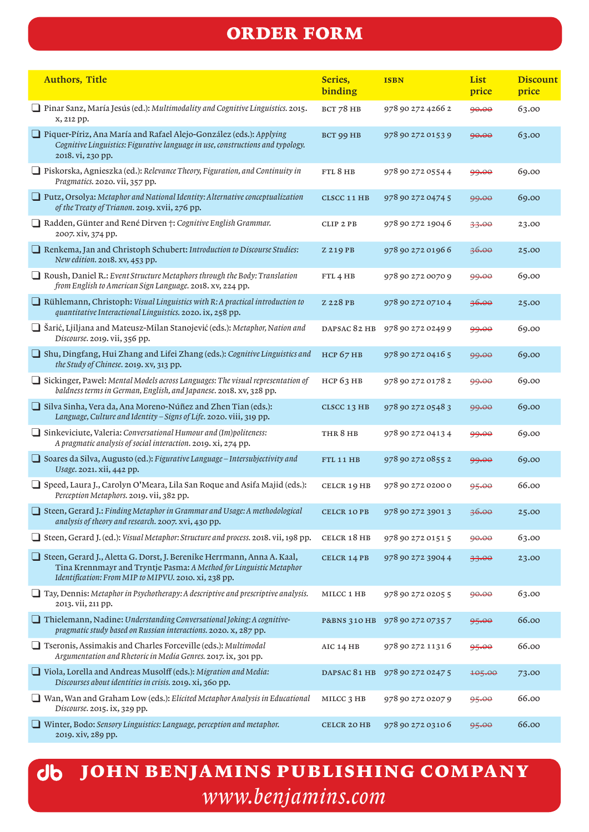| <b>Authors, Title</b>                                                                                                                                                                                | Series,<br>binding      | <b>ISBN</b>       | List<br>price | <b>Discount</b><br>price |
|------------------------------------------------------------------------------------------------------------------------------------------------------------------------------------------------------|-------------------------|-------------------|---------------|--------------------------|
| Pinar Sanz, María Jesús (ed.): Multimodality and Cognitive Linguistics. 2015.<br>x, 212 pp.                                                                                                          | BCT 78 HB               | 978 90 272 4266 2 | 90.00         | 63.00                    |
| Piquer-Píriz, Ana María and Rafael Alejo-González (eds.): Applying<br>Cognitive Linguistics: Figurative language in use, constructions and typology.<br>2018. vi, 230 pp.                            | <b>BCT 99 HB</b>        | 978 90 272 0153 9 | 90.00         | 63.00                    |
| □ Piskorska, Agnieszka (ed.): Relevance Theory, Figuration, and Continuity in<br>Pragmatics. 2020. vii, 357 pp.                                                                                      | FTL8HB                  | 978 90 272 0554 4 | 99.00         | 69.00                    |
| Putz, Orsolya: Metaphor and National Identity: Alternative conceptualization<br>of the Treaty of Trianon. 2019. xvii, 276 pp.                                                                        | CLSCC 11 HB             | 978 90 272 0474 5 | 99.00         | 69.00                    |
| $\Box$ Radden, Günter and René Dirven †: Cognitive English Grammar.<br>2007. xiv, 374 pp.                                                                                                            | CLIP 2 PB               | 978 90 272 1904 6 | 33.00         | 23.00                    |
| Renkema, Jan and Christoph Schubert: Introduction to Discourse Studies:<br>New edition. 2018. xv, 453 pp.                                                                                            | Z 219 PB                | 978 90 272 01966  | 36.00         | 25.00                    |
| $\Box$ Roush, Daniel R.: Event Structure Metaphors through the Body: Translation<br>from English to American Sign Language. 2018. xv, 224 pp.                                                        | FTL <sub>4</sub> HB     | 978 90 272 0070 9 | 99.00         | 69.00                    |
| $\Box$ Rühlemann, Christoph: Visual Linguistics with R: A practical introduction to<br>quantitative Interactional Linguistics. 2020. ix, 258 pp.                                                     | Z 228 PB                | 978 90 272 0710 4 | 36.00         | 25.00                    |
| Sarić, Ljiljana and Mateusz-Milan Stanojević (eds.): Metaphor, Nation and<br>Discourse. 2019. vii, 356 pp.                                                                                           | DAPSAC 82 HB            | 978 90 272 0249 9 | 99.00         | 69.00                    |
| Shu, Dingfang, Hui Zhang and Lifei Zhang (eds.): Cognitive Linguistics and<br>the Study of Chinese. 2019. XV, 313 pp.                                                                                | <b>НСР 67 НВ</b>        | 978 90 272 0416 5 | 99.00         | 69.00                    |
| Sickinger, Pawel: Mental Models across Languages: The visual representation of<br>baldness terms in German, English, and Japanese. 2018. xv, 328 pp.                                                 | <b>HCP 63 HB</b>        | 978 90 272 0178 2 | 99.00         | 69.00                    |
| □ Silva Sinha, Vera da, Ana Moreno-Núñez and Zhen Tian (eds.):<br>Language, Culture and Identity - Signs of Life. 2020. viii, 319 pp.                                                                | CLSCC 13 HB             | 978 90 272 0548 3 | 99.00         | 69.00                    |
| $\Box$ Sinkeviciute, Valeria: Conversational Humour and (Im)politeness:<br>A pragmatic analysis of social interaction. 2019. xi, 274 pp.                                                             | THR 8 HB                | 978 90 272 0413 4 | 99.00         | 69.00                    |
| Soares da Silva, Augusto (ed.): Figurative Language - Intersubjectivity and<br>Usage. 2021. xii, 442 pp.                                                                                             | FTL 11 HB               | 978 90 272 0855 2 | 99.00         | 69.00                    |
| □ Speed, Laura J., Carolyn O'Meara, Lila San Roque and Asifa Majid (eds.):<br>Perception Metaphors. 2019. vii, 382 pp.                                                                               | CELCR 19 HB             | 978 90 272 0200 0 | 95.00         | 66.00                    |
| Steen, Gerard J.: Finding Metaphor in Grammar and Usage: A methodological<br>analysis of theory and research. 2007. xvi, 430 pp.                                                                     | <b>CELCR 10 PB</b>      | 978 90 272 3901 3 | 36.00         | 25.00                    |
| Steen, Gerard J. (ed.): Visual Metaphor: Structure and process. 2018. vii, 198 pp.                                                                                                                   | CELCR 18 HB             | 978 90 272 0151 5 | 90.00         | 63.00                    |
| Steen, Gerard J., Aletta G. Dorst, J. Berenike Herrmann, Anna A. Kaal,<br>Tina Krennmayr and Tryntje Pasma: A Method for Linguistic Metaphor<br>Identification: From MIP to MIPVU. 2010. xi, 238 pp. | CELCR 14 PB             | 978 90 272 3904 4 | 33.00         | 23.00                    |
| $\Box$ Tay, Dennis: Metaphor in Psychotherapy: A descriptive and prescriptive analysis.<br>2013. vii, 211 pp.                                                                                        | MILCC 1 HB              | 978 90 272 0205 5 | 90.00         | 63.00                    |
| Thielemann, Nadine: Understanding Conversational Joking: A cognitive-<br>pragmatic study based on Russian interactions. 2020. x, 287 pp.                                                             | <b>P&amp;BNS 310 HB</b> | 978 90 272 0735 7 | 95.00         | 66.00                    |
| Tseronis, Assimakis and Charles Forceville (eds.): Multimodal<br>Argumentation and Rhetoric in Media Genres. 2017. ix, 301 pp.                                                                       | AIC $14HB$              | 978 90 272 1131 6 | 95.00         | 66.00                    |
| Viola, Lorella and Andreas Musolff (eds.): Migration and Media:<br>Discourses about identities in crisis. 2019. xi, 360 pp.                                                                          | DAPSAC 81 HB            | 978 90 272 0247 5 | 105.00        | 73.00                    |
| $\Box$ Wan, Wan and Graham Low (eds.): Elicited Metaphor Analysis in Educational<br>Discourse. 2015. ix, 329 pp.                                                                                     | MILCC <sub>3</sub> HB   | 978 90 272 0207 9 | 95.00         | 66.00                    |
| Winter, Bodo: Sensory Linguistics: Language, perception and metaphor.<br>2019. xiv, 289 pp.                                                                                                          | <b>CELCR 20 HB</b>      | 978 90 272 0310 6 | 95.00         | 66.00                    |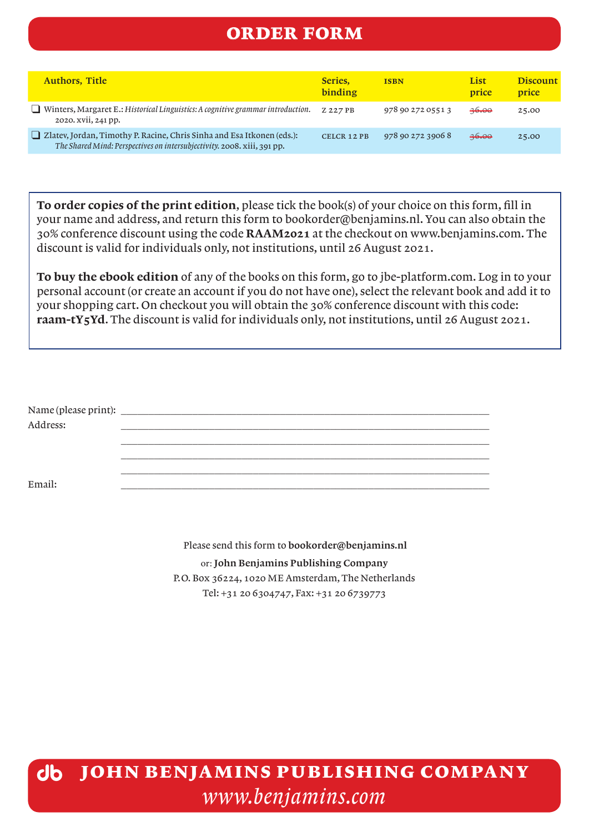| <b>Authors, Title</b>                                                                                                                                    | Series.<br>binding | <b>ISBN</b>       | List<br><b>price</b> | Discount<br>price |
|----------------------------------------------------------------------------------------------------------------------------------------------------------|--------------------|-------------------|----------------------|-------------------|
| Winters, Margaret E.: Historical Linguistics: A cognitive grammar introduction.<br>2020. xvii, 241 pp.                                                   | Z 227 PB           | 978 90 272 0551 3 | $-46.00$             | 25.00             |
| $\Box$ Zlatev, Jordan, Timothy P. Racine, Chris Sinha and Esa Itkonen (eds.):<br>The Shared Mind: Perspectives on intersubjectivity. 2008. xiii, 391 pp. | <b>CELCR 12 PB</b> | 978 90 272 3906 8 | <del>36.00</del>     | 25.00             |

To order copies of the print edition, please tick the book(s) of your choice on this form, fill in your name and address, and return this form to bookorder@benjamins.nl. You can also obtain the 30% conference discount using the code RAAM2021 at the checkout on www.benjamins.com. The discount is valid for individuals only, not institutions, until 26 August 2021.

To buy the ebook edition of any of the books on this form, go to jbe-platform.com. Log in to your personal account (or create an account if you do not have one), select the relevant book and add it to your shopping cart. On checkout you will obtain the 30% conference discount with this code: raam-tY5Yd. The discount is valid for individuals only, not institutions, until 26 August 2021.

| Address: |  |  |  |
|----------|--|--|--|
|          |  |  |  |
|          |  |  |  |
|          |  |  |  |
| Email:   |  |  |  |
|          |  |  |  |

 Please send this form to bookorder@benjamins.nl or: John Benjamins Publishing Company P.O. Box 36224, 1020 ME Amsterdam, The Netherlands Tel: +31 20 6304747, Fax: +31 20 6739773